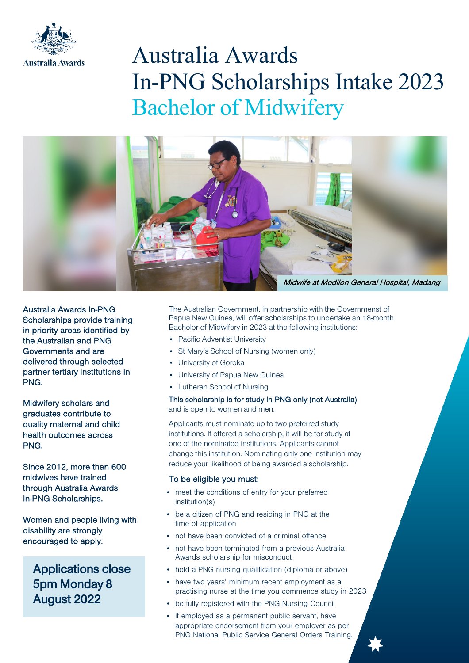

# Australia Awards In-PNG Scholarships Intake 2023 Bachelor of Midwifery



Australia Awards In-PNG Scholarships provide training in priority areas identified by the Australian and PNG Governments and are delivered through selected partner tertiary institutions in PNG.

Midwifery scholars and graduates contribute to quality maternal and child health outcomes across PNG.

Since 2012, more than 600 midwives have trained through Australia Awards In-PNG Scholarships.

Women and people living with disability are strongly encouraged to apply.

Applications close 5pm Monday 8 August 2022

The Australian Government, in partnership with the Governmenst of Papua New Guinea, will offer scholarships to undertake an 18-month Bachelor of Midwifery in 2023 at the following institutions:

- Pacific Adventist University
- St Mary's School of Nursing (women only)
- University of Goroka
- University of Papua New Guinea
- Lutheran School of Nursing

This scholarship is for study in PNG only (not Australia) and is open to women and men.

Applicants must nominate up to two preferred study institutions. If offered a scholarship, it will be for study at one of the nominated institutions. Applicants cannot change this institution. Nominating only one institution may reduce your likelihood of being awarded a scholarship.

#### To be eligible you must:

- meet the conditions of entry for your preferred institution(s)
- be a citizen of PNG and residing in PNG at the time of application
- not have been convicted of a criminal offence
- not have been terminated from a previous Australia Awards scholarship for misconduct
- hold a PNG nursing qualification (diploma or above)
- have two years' minimum recent employment as a practising nurse at the time you commence study in 2023
- be fully registered with the PNG Nursing Council
- if employed as a permanent public servant, have appropriate endorsement from your employer as per PNG National Public Service General Orders Training.